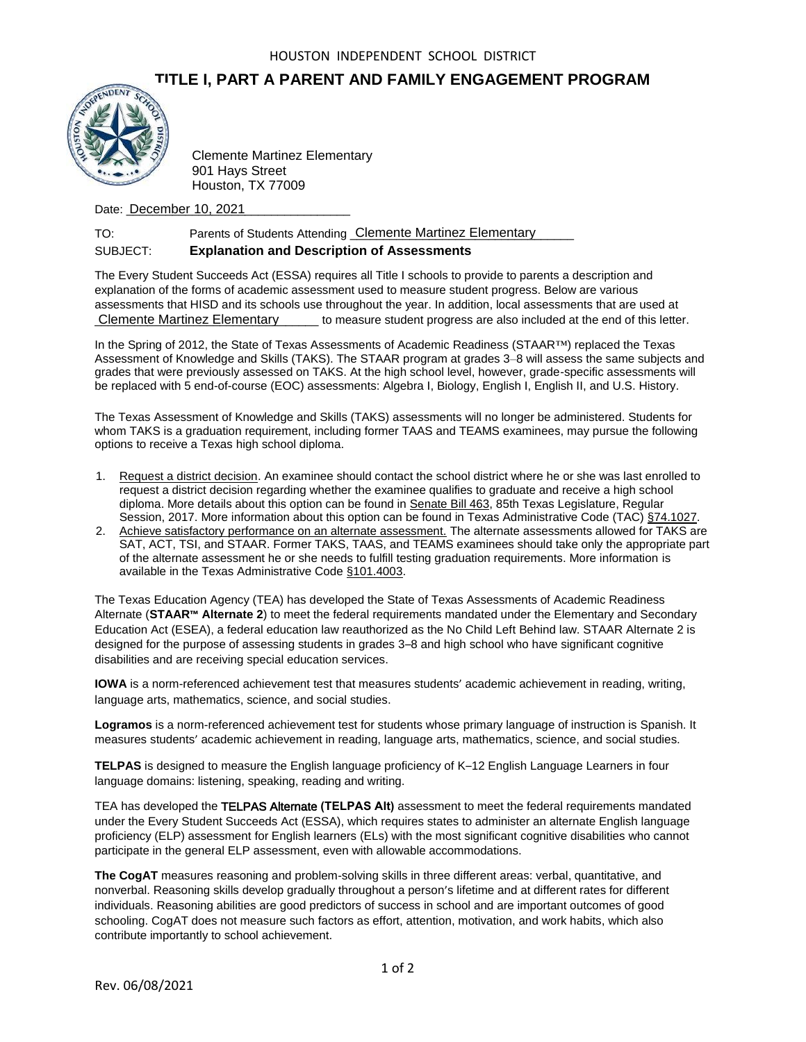## **TITLE I, PART A PARENT AND FAMILY ENGAGEMENT PROGRAM**



Clemente Martinez Elementary 901 Hays Street Houston, TX 77009

Date: **December 10, 2021** 

## TO: Parents of Students Attending Clemente Martinez Elementary SUBJECT: **Explanation and Description of Assessments**

The Every Student Succeeds Act (ESSA) requires all Title I schools to provide to parents a description and explanation of the forms of academic assessment used to measure student progress. Below are various assessments that HISD and its schools use throughout the year. In addition, local assessments that are used at \_\_\_\_\_\_\_\_\_\_\_\_\_\_\_\_\_\_\_\_\_\_\_\_\_\_\_\_\_\_\_\_\_\_ to measure student progress are also included at the end of this letter. Clemente Martinez Elementary

In the Spring of 2012, the State of Texas Assessments of Academic Readiness (STAAR™) replaced the Texas Assessment of Knowledge and Skills (TAKS). The STAAR program at grades 3–8 will assess the same subjects and grades that were previously assessed on TAKS. At the high school level, however, grade-specific assessments will be replaced with 5 end-of-course (EOC) assessments: Algebra I, Biology, English I, English II, and U.S. History.

The Texas Assessment of Knowledge and Skills (TAKS) assessments will no longer be administered. Students for whom TAKS is a graduation requirement, including former TAAS and TEAMS examinees, may pursue the following options to receive a Texas high school diploma.

- 1. Request a district decision. An examinee should contact the school district where he or she was last enrolled to request a district decision regarding whether the examinee qualifies to graduate and receive a high school diploma. More details about this option can be found in Senate Bill 463, 85th Texas Legislature, Regular Session, 2017. More information about this option can be found in Texas Administrative Code (TAC) §74.1027.
- 2. Achieve satisfactory performance on an alternate assessment. The alternate assessments allowed for TAKS are SAT, ACT, TSI, and STAAR. Former TAKS, TAAS, and TEAMS examinees should take only the appropriate part of the alternate assessment he or she needs to fulfill testing graduation requirements. More information is available in the Texas Administrative Code §101.4003.

The Texas Education Agency (TEA) has developed the State of Texas Assessments of Academic Readiness Alternate (**STAAR™ Alternate 2**) to meet the federal requirements mandated under the Elementary and Secondary Education Act (ESEA), a federal education law reauthorized as the No Child Left Behind law. STAAR Alternate 2 is designed for the purpose of assessing students in grades 3–8 and high school who have significant cognitive disabilities and are receiving special education services.

**IOWA** is a norm-referenced achievement test that measures students' academic achievement in reading, writing, language arts, mathematics, science, and social studies.

**Logramos** is a norm-referenced achievement test for students whose primary language of instruction is Spanish. It measures students' academic achievement in reading, language arts, mathematics, science, and social studies.

**TELPAS** is designed to measure the English language proficiency of K–12 English Language Learners in four language domains: listening, speaking, reading and writing.

TEA has developed the TELPAS Alternate **(TELPAS Alt)** assessment to meet the federal requirements mandated under the Every Student Succeeds Act (ESSA), which requires states to administer an alternate English language proficiency (ELP) assessment for English learners (ELs) with the most significant cognitive disabilities who cannot participate in the general ELP assessment, even with allowable accommodations.

**The CogAT** measures reasoning and problem-solving skills in three different areas: verbal, quantitative, and nonverbal. Reasoning skills develop gradually throughout a person's lifetime and at different rates for different individuals. Reasoning abilities are good predictors of success in school and are important outcomes of good schooling. CogAT does not measure such factors as effort, attention, motivation, and work habits, which also contribute importantly to school achievement.